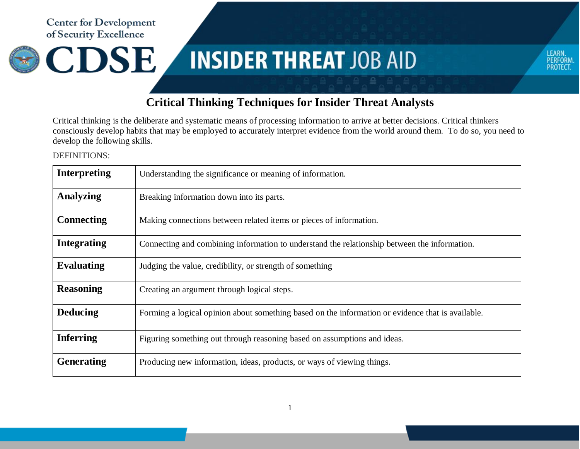**Center for Development** of Security Excellence



## **INSIDER THREAT JOB AID**



## **Critical Thinking Techniques for Insider Threat Analysts**

Critical thinking is the deliberate and systematic means of processing information to arrive at better decisions. Critical thinkers consciously develop habits that may be employed to accurately interpret evidence from the world around them. To do so, you need to develop the following skills.

DEFINITIONS:

| Interpreting       | Understanding the significance or meaning of information.                                         |
|--------------------|---------------------------------------------------------------------------------------------------|
| <b>Analyzing</b>   | Breaking information down into its parts.                                                         |
| <b>Connecting</b>  | Making connections between related items or pieces of information.                                |
| <b>Integrating</b> | Connecting and combining information to understand the relationship between the information.      |
| <b>Evaluating</b>  | Judging the value, credibility, or strength of something                                          |
| <b>Reasoning</b>   | Creating an argument through logical steps.                                                       |
| <b>Deducing</b>    | Forming a logical opinion about something based on the information or evidence that is available. |
| <b>Inferring</b>   | Figuring something out through reasoning based on assumptions and ideas.                          |
| <b>Generating</b>  | Producing new information, ideas, products, or ways of viewing things.                            |